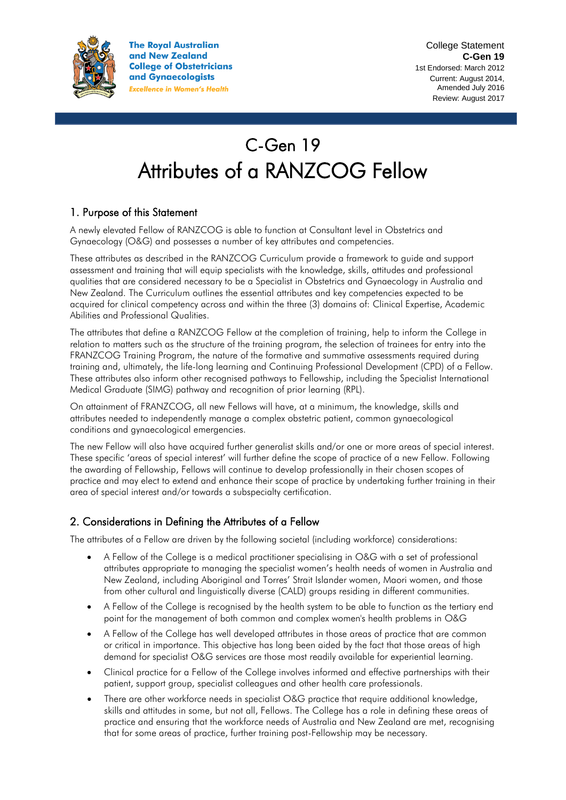

**The Royal Australian** and New Zealand **College of Obstetricians** and Gynaecologists **Excellence in Women's Health** 

# C-Gen 19 Attributes of a RANZCOG Fellow

## 1. Purpose of this Statement

A newly elevated Fellow of RANZCOG is able to function at Consultant level in Obstetrics and Gynaecology (O&G) and possesses a number of key attributes and competencies.

These attributes as described in the RANZCOG Curriculum provide a framework to guide and support assessment and training that will equip specialists with the knowledge, skills, attitudes and professional qualities that are considered necessary to be a Specialist in Obstetrics and Gynaecology in Australia and New Zealand. The Curriculum outlines the essential attributes and key competencies expected to be acquired for clinical competency across and within the three (3) domains of: Clinical Expertise, Academic Abilities and Professional Qualities.

The attributes that define a RANZCOG Fellow at the completion of training, help to inform the College in relation to matters such as the structure of the training program, the selection of trainees for entry into the FRANZCOG Training Program, the nature of the formative and summative assessments required during training and, ultimately, the life-long learning and Continuing Professional Development (CPD) of a Fellow. These attributes also inform other recognised pathways to Fellowship, including the Specialist International Medical Graduate (SIMG) pathway and recognition of prior learning (RPL).

On attainment of FRANZCOG, all new Fellows will have, at a minimum, the knowledge, skills and attributes needed to independently manage a complex obstetric patient, common gynaecological conditions and gynaecological emergencies.

The new Fellow will also have acquired further generalist skills and/or one or more areas of special interest. These specific 'areas of special interest' will further define the scope of practice of a new Fellow. Following the awarding of Fellowship, Fellows will continue to develop professionally in their chosen scopes of practice and may elect to extend and enhance their scope of practice by undertaking further training in their area of special interest and/or towards a subspecialty certification.

## 2. Considerations in Defining the Attributes of a Fellow

The attributes of a Fellow are driven by the following societal (including workforce) considerations:

- A Fellow of the College is a medical practitioner specialising in O&G with a set of professional attributes appropriate to managing the specialist women's health needs of women in Australia and New Zealand, including Aboriginal and Torres' Strait Islander women, Maori women, and those from other cultural and linguistically diverse (CALD) groups residing in different communities.
- A Fellow of the College is recognised by the health system to be able to function as the tertiary end point for the management of both common and complex women's health problems in O&G
- A Fellow of the College has well developed attributes in those areas of practice that are common or critical in importance. This objective has long been aided by the fact that those areas of high demand for specialist O&G services are those most readily available for experiential learning.
- Clinical practice for a Fellow of the College involves informed and effective partnerships with their patient, support group, specialist colleagues and other health care professionals.
- There are other workforce needs in specialist O&G practice that require additional knowledge, skills and attitudes in some, but not all, Fellows. The College has a role in defining these areas of practice and ensuring that the workforce needs of Australia and New Zealand are met, recognising that for some areas of practice, further training post-Fellowship may be necessary.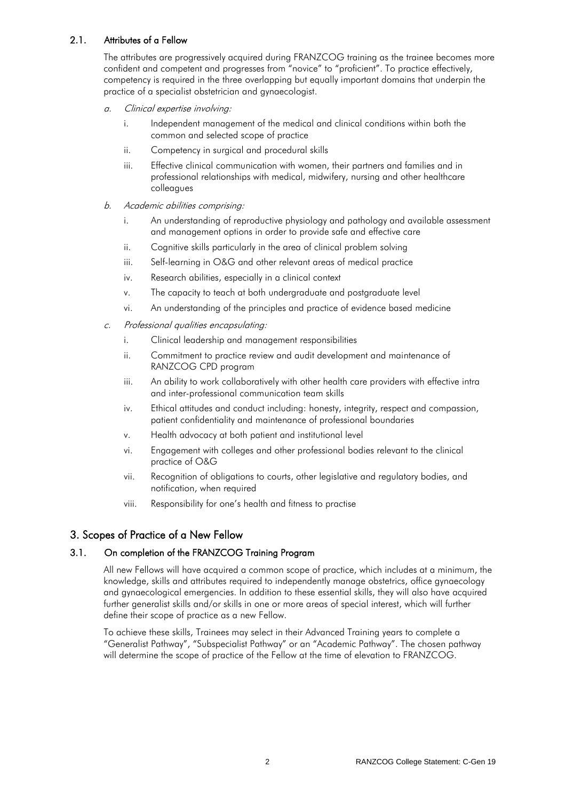## 2.1. Attributes of a Fellow

The attributes are progressively acquired during FRANZCOG training as the trainee becomes more confident and competent and progresses from "novice" to "proficient". To practice effectively, competency is required in the three overlapping but equally important domains that underpin the practice of a specialist obstetrician and gynaecologist.

- a. Clinical expertise involving:
	- i. Independent management of the medical and clinical conditions within both the common and selected scope of practice
	- ii. Competency in surgical and procedural skills
	- iii. Effective clinical communication with women, their partners and families and in professional relationships with medical, midwifery, nursing and other healthcare colleagues
- b. Academic abilities comprising:
	- i. An understanding of reproductive physiology and pathology and available assessment and management options in order to provide safe and effective care
	- ii. Cognitive skills particularly in the area of clinical problem solving
	- iii. Self-learning in O&G and other relevant areas of medical practice
	- iv. Research abilities, especially in a clinical context
	- v. The capacity to teach at both undergraduate and postgraduate level
	- vi. An understanding of the principles and practice of evidence based medicine
- c. Professional qualities encapsulating:
	- i. Clinical leadership and management responsibilities
	- ii. Commitment to practice review and audit development and maintenance of RANZCOG CPD program
	- iii. An ability to work collaboratively with other health care providers with effective intra and inter-professional communication team skills
	- iv. Ethical attitudes and conduct including: honesty, integrity, respect and compassion, patient confidentiality and maintenance of professional boundaries
	- v. Health advocacy at both patient and institutional level
	- vi. Engagement with colleges and other professional bodies relevant to the clinical practice of O&G
	- vii. Recognition of obligations to courts, other legislative and regulatory bodies, and notification, when required
	- viii. Responsibility for one's health and fitness to practise

## 3. Scopes of Practice of a New Fellow

## 3.1. On completion of the FRANZCOG Training Program

All new Fellows will have acquired a common scope of practice, which includes at a minimum, the knowledge, skills and attributes required to independently manage obstetrics, office gynaecology and gynaecological emergencies. In addition to these essential skills, they will also have acquired further generalist skills and/or skills in one or more areas of special interest, which will further define their scope of practice as a new Fellow.

To achieve these skills, Trainees may select in their Advanced Training years to complete a "Generalist Pathway", "Subspecialist Pathway" or an "Academic Pathway". The chosen pathway will determine the scope of practice of the Fellow at the time of elevation to FRANZCOG.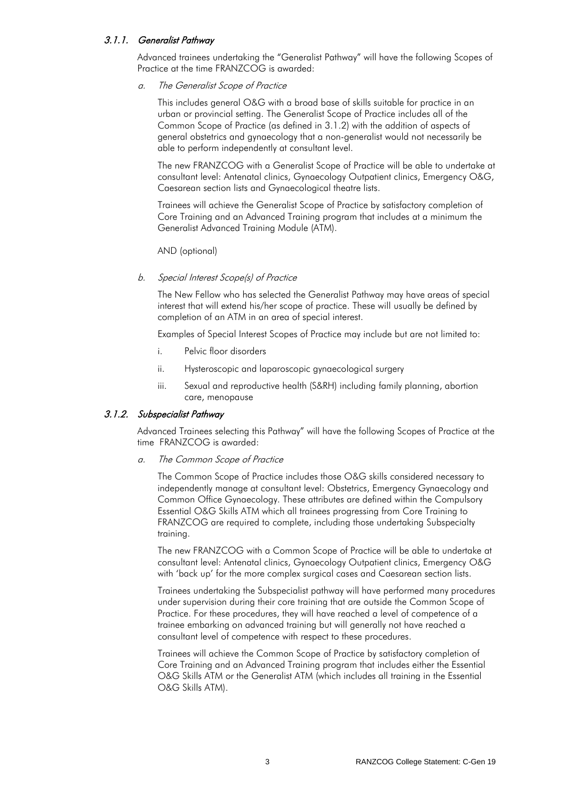#### 3.1.1. Generalist Pathway

Advanced trainees undertaking the "Generalist Pathway" will have the following Scopes of Practice at the time FRANZCOG is awarded:

a. The Generalist Scope of Practice

This includes general O&G with a broad base of skills suitable for practice in an urban or provincial setting. The Generalist Scope of Practice includes all of the Common Scope of Practice (as defined in 3.1.2) with the addition of aspects of general obstetrics and gynaecology that a non-generalist would not necessarily be able to perform independently at consultant level.

The new FRANZCOG with a Generalist Scope of Practice will be able to undertake at consultant level: Antenatal clinics, Gynaecology Outpatient clinics, Emergency O&G, Caesarean section lists and Gynaecological theatre lists.

Trainees will achieve the Generalist Scope of Practice by satisfactory completion of Core Training and an Advanced Training program that includes at a minimum the Generalist Advanced Training Module (ATM).

AND (optional)

#### b. Special Interest Scope(s) of Practice

The New Fellow who has selected the Generalist Pathway may have areas of special interest that will extend his/her scope of practice. These will usually be defined by completion of an ATM in an area of special interest.

Examples of Special Interest Scopes of Practice may include but are not limited to:

- i. Pelvic floor disorders
- ii. Hysteroscopic and laparoscopic gynaecological surgery
- iii. Sexual and reproductive health (S&RH) including family planning, abortion care, menopause

#### 3.1.2. Subspecialist Pathway

Advanced Trainees selecting this Pathway" will have the following Scopes of Practice at the time FRANZCOG is awarded:

#### a. The Common Scope of Practice

The Common Scope of Practice includes those O&G skills considered necessary to independently manage at consultant level: Obstetrics, Emergency Gynaecology and Common Office Gynaecology. These attributes are defined within the Compulsory Essential O&G Skills ATM which all trainees progressing from Core Training to FRANZCOG are required to complete, including those undertaking Subspecialty training.

The new FRANZCOG with a Common Scope of Practice will be able to undertake at consultant level: Antenatal clinics, Gynaecology Outpatient clinics, Emergency O&G with 'back up' for the more complex surgical cases and Caesarean section lists.

Trainees undertaking the Subspecialist pathway will have performed many procedures under supervision during their core training that are outside the Common Scope of Practice. For these procedures, they will have reached a level of competence of a trainee embarking on advanced training but will generally not have reached a consultant level of competence with respect to these procedures.

Trainees will achieve the Common Scope of Practice by satisfactory completion of Core Training and an Advanced Training program that includes either the Essential O&G Skills ATM or the Generalist ATM (which includes all training in the Essential O&G Skills ATM).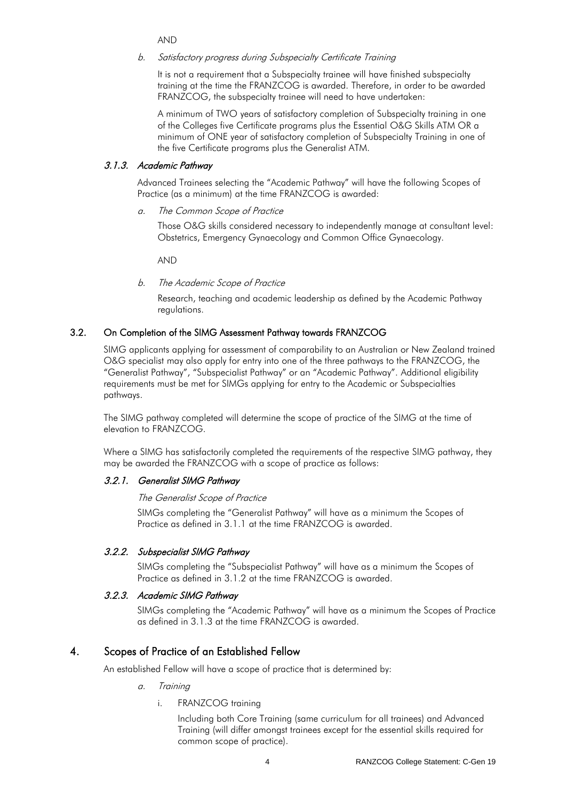AND

#### b. Satisfactory progress during Subspecialty Certificate Training

It is not a requirement that a Subspecialty trainee will have finished subspecialty training at the time the FRANZCOG is awarded. Therefore, in order to be awarded FRANZCOG, the subspecialty trainee will need to have undertaken:

A minimum of TWO years of satisfactory completion of Subspecialty training in one of the Colleges five Certificate programs plus the Essential O&G Skills ATM OR a minimum of ONE year of satisfactory completion of Subspecialty Training in one of the five Certificate programs plus the Generalist ATM.

### 3.1.3. Academic Pathway

Advanced Trainees selecting the "Academic Pathway" will have the following Scopes of Practice (as a minimum) at the time FRANZCOG is awarded:

a. The Common Scope of Practice

Those O&G skills considered necessary to independently manage at consultant level: Obstetrics, Emergency Gynaecology and Common Office Gynaecology.

AND

b. The Academic Scope of Practice

Research, teaching and academic leadership as defined by the Academic Pathway regulations.

## 3.2. On Completion of the SIMG Assessment Pathway towards FRANZCOG

SIMG applicants applying for assessment of comparability to an Australian or New Zealand trained O&G specialist may also apply for entry into one of the three pathways to the FRANZCOG, the "Generalist Pathway", "Subspecialist Pathway" or an "Academic Pathway". Additional eligibility requirements must be met for SIMGs applying for entry to the Academic or Subspecialties pathways.

The SIMG pathway completed will determine the scope of practice of the SIMG at the time of elevation to FRANZCOG.

Where a SIMG has satisfactorily completed the requirements of the respective SIMG pathway, they may be awarded the FRANZCOG with a scope of practice as follows:

## 3.2.1. Generalist SIMG Pathway

#### The Generalist Scope of Practice

SIMGs completing the "Generalist Pathway" will have as a minimum the Scopes of Practice as defined in 3.1.1 at the time FRANZCOG is awarded.

## 3.2.2. Subspecialist SIMG Pathway

SIMGs completing the "Subspecialist Pathway" will have as a minimum the Scopes of Practice as defined in 3.1.2 at the time FRANZCOG is awarded.

#### 3.2.3. Academic SIMG Pathway

SIMGs completing the "Academic Pathway" will have as a minimum the Scopes of Practice as defined in 3.1.3 at the time FRANZCOG is awarded.

## 4. Scopes of Practice of an Established Fellow

An established Fellow will have a scope of practice that is determined by:

- a. Training
	- i. FRANZCOG training

Including both Core Training (same curriculum for all trainees) and Advanced Training (will differ amongst trainees except for the essential skills required for common scope of practice).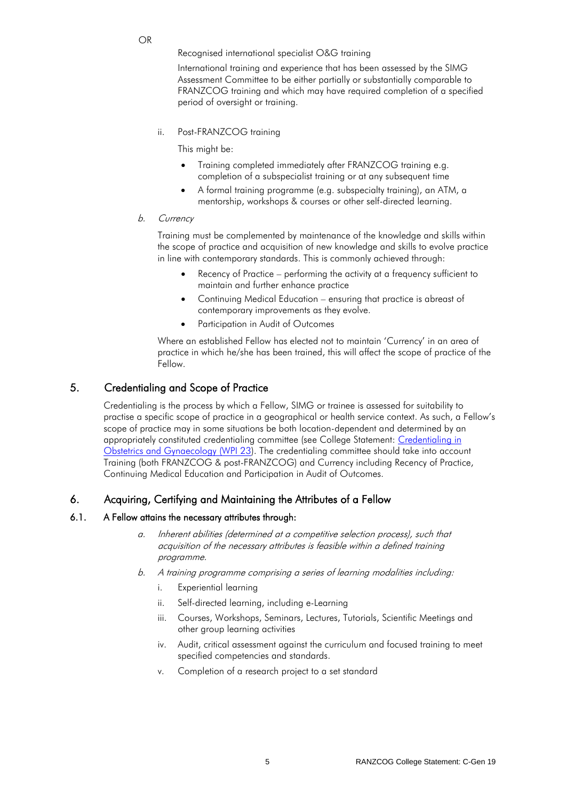OR

Recognised international specialist O&G training

International training and experience that has been assessed by the SIMG Assessment Committee to be either partially or substantially comparable to FRANZCOG training and which may have required completion of a specified period of oversight or training.

ii. Post-FRANZCOG training

This might be:

- Training completed immediately after FRANZCOG training e.g. completion of a subspecialist training or at any subsequent time
- A formal training programme (e.g. subspecialty training), an ATM, a mentorship, workshops & courses or other self-directed learning.

#### b. Currency

Training must be complemented by maintenance of the knowledge and skills within the scope of practice and acquisition of new knowledge and skills to evolve practice in line with contemporary standards. This is commonly achieved through:

- Recency of Practice performing the activity at a frequency sufficient to maintain and further enhance practice
- Continuing Medical Education ensuring that practice is abreast of contemporary improvements as they evolve.
- Participation in Audit of Outcomes

Where an established Fellow has elected not to maintain 'Currency' in an area of practice in which he/she has been trained, this will affect the scope of practice of the Fellow.

## 5. Credentialing and Scope of Practice

Credentialing is the process by which a Fellow, SIMG or trainee is assessed for suitability to practise a specific scope of practice in a geographical or health service context. As such, a Fellow's scope of practice may in some situations be both location-dependent and determined by an appropriately constituted credentialing committee (see College Statement: [Credentialing in](https://www.ranzcog.edu.au/RANZCOG_SITE/media/RANZCOG-MEDIA/Women%27s%20Health/Statement%20and%20guidelines/Workforce%20and%20Practice%20Issues/Credentialing-in-Obstetrics-and-Gynaecology-(WPI-23)-Review-May15.pdf?ext=.pdf)  [Obstetrics and Gynaecology \(WPI 23\)](https://www.ranzcog.edu.au/RANZCOG_SITE/media/RANZCOG-MEDIA/Women%27s%20Health/Statement%20and%20guidelines/Workforce%20and%20Practice%20Issues/Credentialing-in-Obstetrics-and-Gynaecology-(WPI-23)-Review-May15.pdf?ext=.pdf). The credentialing committee should take into account Training (both FRANZCOG & post-FRANZCOG) and Currency including Recency of Practice, Continuing Medical Education and Participation in Audit of Outcomes.

## 6. Acquiring, Certifying and Maintaining the Attributes of a Fellow

#### 6.1. A Fellow attains the necessary attributes through:

- a. Inherent abilities (determined at a competitive selection process), such that acquisition of the necessary attributes is feasible within a defined training programme.
- b. A training programme comprising a series of learning modalities including:
	- i. Experiential learning
	- ii. Self-directed learning, including e-Learning
	- iii. Courses, Workshops, Seminars, Lectures, Tutorials, Scientific Meetings and other group learning activities
	- iv. Audit, critical assessment against the curriculum and focused training to meet specified competencies and standards.
	- v. Completion of a research project to a set standard